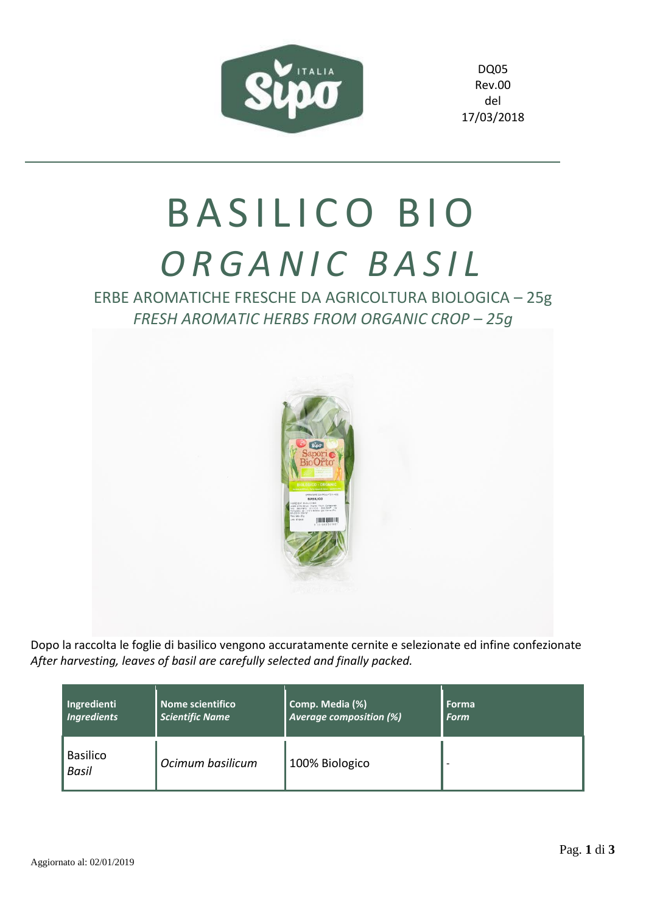

DQ05 Rev.00 del 17/03/2018

## BASILICO BIO *O R G A N I C B A S I L*

ERBE AROMATICHE FRESCHE DA AGRICOLTURA BIOLOGICA – 25g *FRESH AROMATIC HERBS FROM ORGANIC CROP – 25g*



Dopo la raccolta le foglie di basilico vengono accuratamente cernite e selezionate ed infine confezionate *After harvesting, leaves of basil are carefully selected and finally packed.*

| Ingredienti                     | Nome scientifico       | Comp. Media (%)                | Forma |
|---------------------------------|------------------------|--------------------------------|-------|
| <b>Ingredients</b>              | <b>Scientific Name</b> | <b>Average composition (%)</b> | Form  |
| <b>Basilico</b><br><b>Basil</b> | Ocimum basilicum       | 100% Biologico                 |       |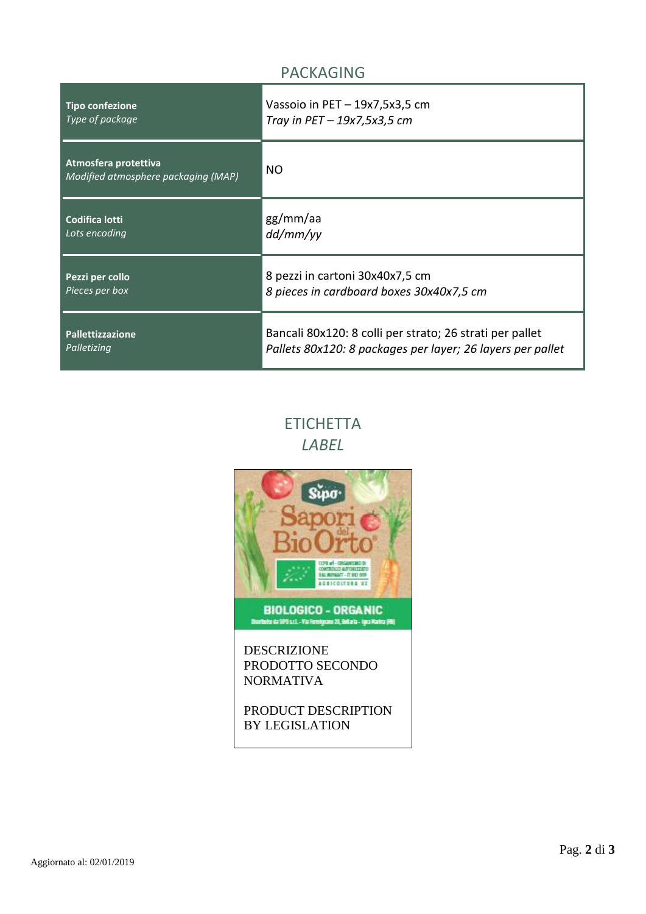## PACKAGING

| <b>Tipo confezione</b>                                      | Vassoio in $PET - 19x7, 5x3, 5$ cm                         |
|-------------------------------------------------------------|------------------------------------------------------------|
| Type of package                                             | Tray in $PET-19x7,5x3,5$ cm                                |
| Atmosfera protettiva<br>Modified atmosphere packaging (MAP) | NO                                                         |
| <b>Codifica lotti</b>                                       | gg/mm/aa                                                   |
| Lots encoding                                               | dd/mm/yy                                                   |
| Pezzi per collo                                             | 8 pezzi in cartoni 30x40x7,5 cm                            |
| Pieces per box                                              | 8 pieces in cardboard boxes 30x40x7,5 cm                   |
| <b>Pallettizzazione</b>                                     | Bancali 80x120: 8 colli per strato; 26 strati per pallet   |
| Palletizing                                                 | Pallets 80x120: 8 packages per layer; 26 layers per pallet |

## **ETICHETTA** *LABEL*